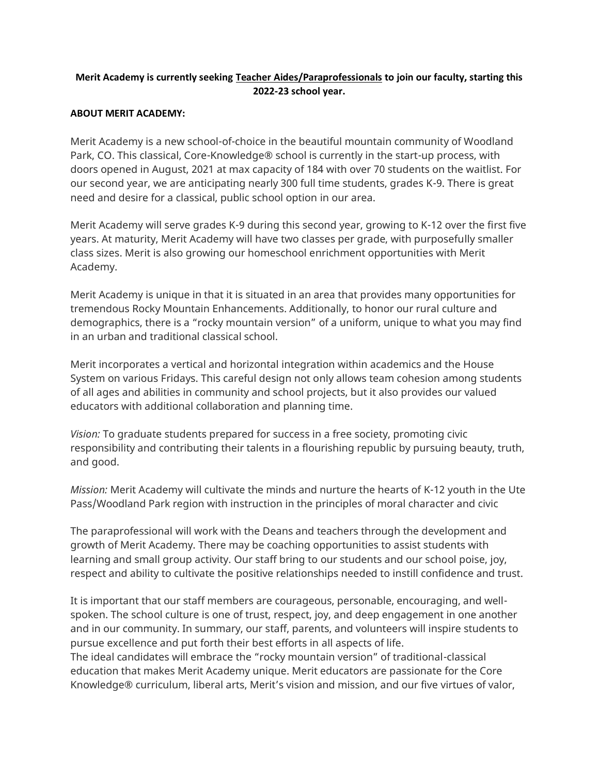# **Merit Academy is currently seeking Teacher Aides/Paraprofessionals to join our faculty, starting this 2022-23 school year.**

## **ABOUT MERIT ACADEMY:**

Merit Academy is a new school-of-choice in the beautiful mountain community of Woodland Park, CO. This classical, Core-Knowledge® school is currently in the start-up process, with doors opened in August, 2021 at max capacity of 184 with over 70 students on the waitlist. For our second year, we are anticipating nearly 300 full time students, grades K-9. There is great need and desire for a classical, public school option in our area.

Merit Academy will serve grades K-9 during this second year, growing to K-12 over the first five years. At maturity, Merit Academy will have two classes per grade, with purposefully smaller class sizes. Merit is also growing our homeschool enrichment opportunities with Merit Academy.

Merit Academy is unique in that it is situated in an area that provides many opportunities for tremendous Rocky Mountain Enhancements. Additionally, to honor our rural culture and demographics, there is a "rocky mountain version" of a uniform, unique to what you may find in an urban and traditional classical school.

Merit incorporates a vertical and horizontal integration within academics and the House System on various Fridays. This careful design not only allows team cohesion among students of all ages and abilities in community and school projects, but it also provides our valued educators with additional collaboration and planning time.

*Vision:* To graduate students prepared for success in a free society, promoting civic responsibility and contributing their talents in a flourishing republic by pursuing beauty, truth, and good.

*Mission:* Merit Academy will cultivate the minds and nurture the hearts of K-12 youth in the Ute Pass/Woodland Park region with instruction in the principles of moral character and civic

The paraprofessional will work with the Deans and teachers through the development and growth of Merit Academy. There may be coaching opportunities to assist students with learning and small group activity. Our staff bring to our students and our school poise, joy, respect and ability to cultivate the positive relationships needed to instill confidence and trust.

It is important that our staff members are courageous, personable, encouraging, and wellspoken. The school culture is one of trust, respect, joy, and deep engagement in one another and in our community. In summary, our staff, parents, and volunteers will inspire students to pursue excellence and put forth their best efforts in all aspects of life.

The ideal candidates will embrace the "rocky mountain version" of traditional-classical education that makes Merit Academy unique. Merit educators are passionate for the Core Knowledge® curriculum, liberal arts, Merit's vision and mission, and our five virtues of valor,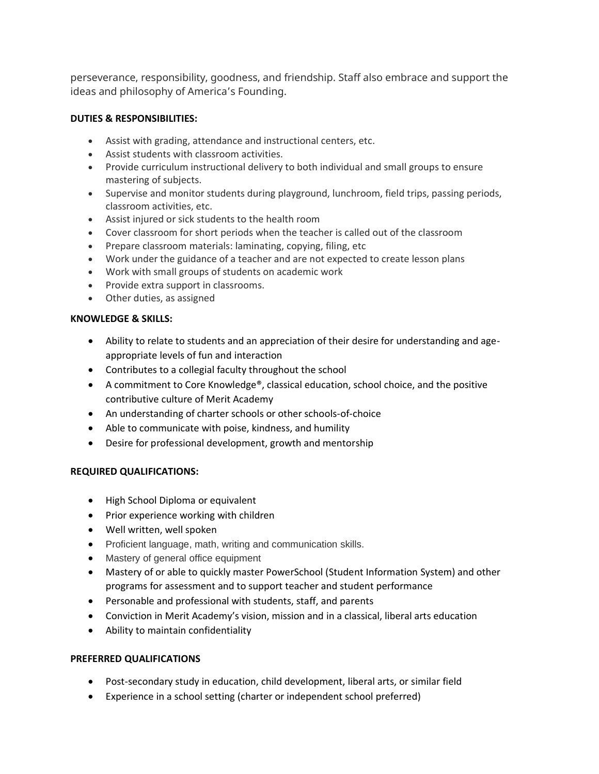perseverance, responsibility, goodness, and friendship. Staff also embrace and support the ideas and philosophy of America's Founding.

## **DUTIES & RESPONSIBILITIES:**

- Assist with grading, attendance and instructional centers, etc.
- Assist students with classroom activities.
- Provide curriculum instructional delivery to both individual and small groups to ensure mastering of subjects.
- Supervise and monitor students during playground, lunchroom, field trips, passing periods, classroom activities, etc.
- Assist injured or sick students to the health room
- Cover classroom for short periods when the teacher is called out of the classroom
- Prepare classroom materials: laminating, copying, filing, etc
- Work under the guidance of a teacher and are not expected to create lesson plans
- Work with small groups of students on academic work
- Provide extra support in classrooms.
- Other duties, as assigned

#### **KNOWLEDGE & SKILLS:**

- Ability to relate to students and an appreciation of their desire for understanding and ageappropriate levels of fun and interaction
- Contributes to a collegial faculty throughout the school
- A commitment to Core Knowledge®, classical education, school choice, and the positive contributive culture of Merit Academy
- An understanding of charter schools or other schools-of-choice
- Able to communicate with poise, kindness, and humility
- Desire for professional development, growth and mentorship

#### **REQUIRED QUALIFICATIONS:**

- High School Diploma or equivalent
- Prior experience working with children
- Well written, well spoken
- Proficient language, math, writing and communication skills.
- Mastery of general office equipment
- Mastery of or able to quickly master PowerSchool (Student Information System) and other programs for assessment and to support teacher and student performance
- Personable and professional with students, staff, and parents
- Conviction in Merit Academy's vision, mission and in a classical, liberal arts education
- Ability to maintain confidentiality

#### **PREFERRED QUALIFICATIONS**

- Post-secondary study in education, child development, liberal arts, or similar field
- Experience in a school setting (charter or independent school preferred)